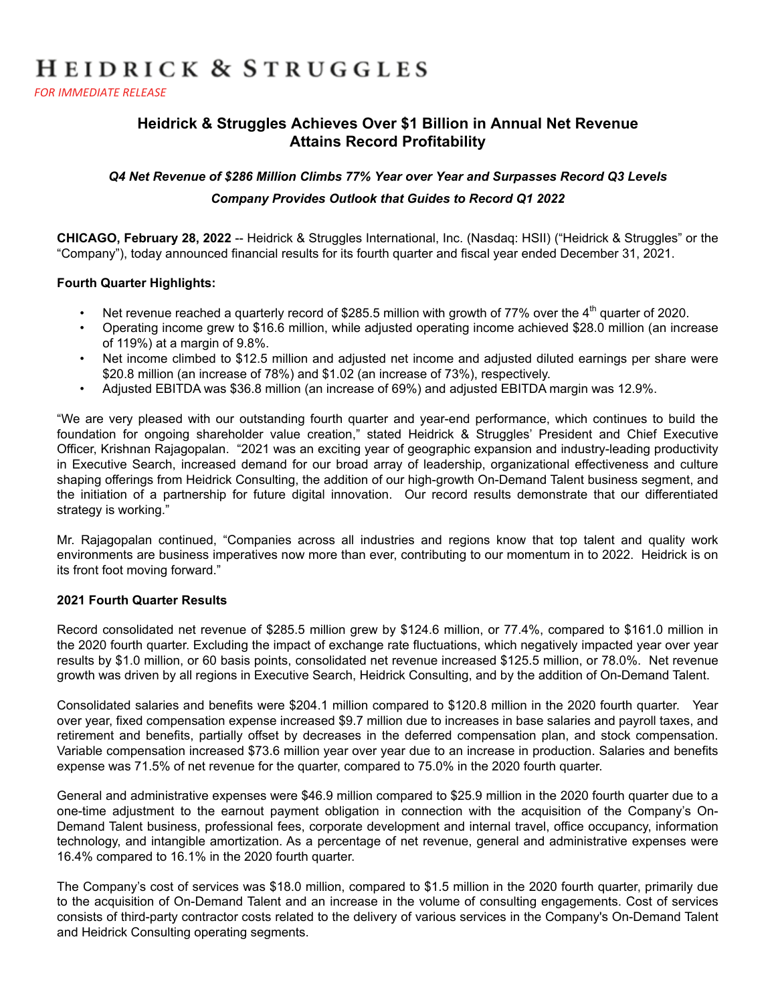# HEIDRICK & STRUGGLES

**FOR IMMEDIATE RELEASE** 

# **Heidrick & Struggles Achieves Over \$1 Billion in Annual Net Revenue Attains Record Profitability**

#### *Q4 Net Revenue of \$286 Million Climbs 77% Year over Year and Surpasses Record Q3 Levels*

#### *Company Provides Outlook that Guides to Record Q1 2022*

**CHICAGO, February 28, 2022** -- Heidrick & Struggles International, Inc. (Nasdaq: HSII) ("Heidrick & Struggles" or the "Company"), today announced financial results for its fourth quarter and fiscal year ended December 31, 2021.

#### **Fourth Quarter Highlights:**

- Net revenue reached a quarterly record of \$285.5 million with growth of 77% over the 4<sup>th</sup> quarter of 2020.
- Operating income grew to \$16.6 million, while adjusted operating income achieved \$28.0 million (an increase of 119%) at a margin of 9.8%.
- Net income climbed to \$12.5 million and adjusted net income and adjusted diluted earnings per share were \$20.8 million (an increase of 78%) and \$1.02 (an increase of 73%), respectively.
- Adjusted EBITDA was \$36.8 million (an increase of 69%) and adjusted EBITDA margin was 12.9%.

"We are very pleased with our outstanding fourth quarter and year-end performance, which continues to build the foundation for ongoing shareholder value creation," stated Heidrick & Struggles' President and Chief Executive Officer, Krishnan Rajagopalan. "2021 was an exciting year of geographic expansion and industry-leading productivity in Executive Search, increased demand for our broad array of leadership, organizational effectiveness and culture shaping offerings from Heidrick Consulting, the addition of our high-growth On-Demand Talent business segment, and the initiation of a partnership for future digital innovation. Our record results demonstrate that our differentiated strategy is working."

Mr. Rajagopalan continued, "Companies across all industries and regions know that top talent and quality work environments are business imperatives now more than ever, contributing to our momentum in to 2022. Heidrick is on its front foot moving forward."

#### **2021 Fourth Quarter Results**

Record consolidated net revenue of \$285.5 million grew by \$124.6 million, or 77.4%, compared to \$161.0 million in the 2020 fourth quarter. Excluding the impact of exchange rate fluctuations, which negatively impacted year over year results by \$1.0 million, or 60 basis points, consolidated net revenue increased \$125.5 million, or 78.0%. Net revenue growth was driven by all regions in Executive Search, Heidrick Consulting, and by the addition of On-Demand Talent.

Consolidated salaries and benefits were \$204.1 million compared to \$120.8 million in the 2020 fourth quarter. Year over year, fixed compensation expense increased \$9.7 million due to increases in base salaries and payroll taxes, and retirement and benefits, partially offset by decreases in the deferred compensation plan, and stock compensation. Variable compensation increased \$73.6 million year over year due to an increase in production. Salaries and benefits expense was 71.5% of net revenue for the quarter, compared to 75.0% in the 2020 fourth quarter.

General and administrative expenses were \$46.9 million compared to \$25.9 million in the 2020 fourth quarter due to a one-time adjustment to the earnout payment obligation in connection with the acquisition of the Company's On-Demand Talent business, professional fees, corporate development and internal travel, office occupancy, information technology, and intangible amortization. As a percentage of net revenue, general and administrative expenses were 16.4% compared to 16.1% in the 2020 fourth quarter.

The Company's cost of services was \$18.0 million, compared to \$1.5 million in the 2020 fourth quarter, primarily due to the acquisition of On-Demand Talent and an increase in the volume of consulting engagements. Cost of services consists of third-party contractor costs related to the delivery of various services in the Company's On-Demand Talent and Heidrick Consulting operating segments.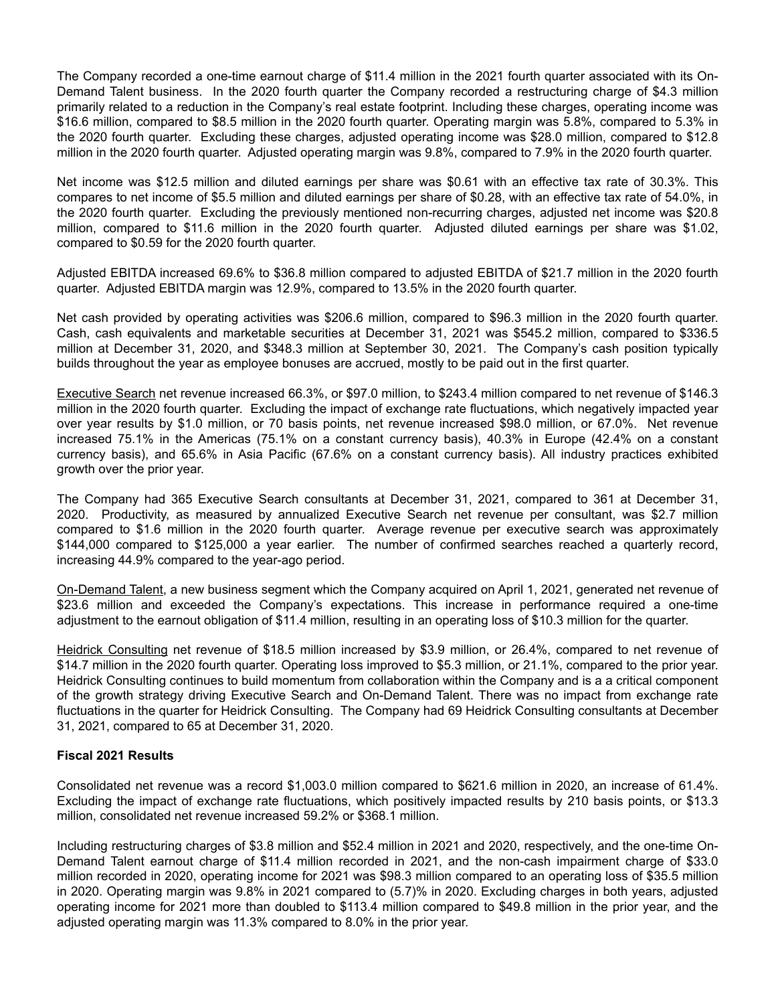The Company recorded a one-time earnout charge of \$11.4 million in the 2021 fourth quarter associated with its On-Demand Talent business. In the 2020 fourth quarter the Company recorded a restructuring charge of \$4.3 million primarily related to a reduction in the Company's real estate footprint. Including these charges, operating income was \$16.6 million, compared to \$8.5 million in the 2020 fourth quarter. Operating margin was 5.8%, compared to 5.3% in the 2020 fourth quarter. Excluding these charges, adjusted operating income was \$28.0 million, compared to \$12.8 million in the 2020 fourth quarter. Adjusted operating margin was 9.8%, compared to 7.9% in the 2020 fourth quarter.

Net income was \$12.5 million and diluted earnings per share was \$0.61 with an effective tax rate of 30.3%. This compares to net income of \$5.5 million and diluted earnings per share of \$0.28, with an effective tax rate of 54.0%, in the 2020 fourth quarter. Excluding the previously mentioned non-recurring charges, adjusted net income was \$20.8 million, compared to \$11.6 million in the 2020 fourth quarter. Adjusted diluted earnings per share was \$1.02, compared to \$0.59 for the 2020 fourth quarter.

Adjusted EBITDA increased 69.6% to \$36.8 million compared to adjusted EBITDA of \$21.7 million in the 2020 fourth quarter. Adjusted EBITDA margin was 12.9%, compared to 13.5% in the 2020 fourth quarter.

Net cash provided by operating activities was \$206.6 million, compared to \$96.3 million in the 2020 fourth quarter. Cash, cash equivalents and marketable securities at December 31, 2021 was \$545.2 million, compared to \$336.5 million at December 31, 2020, and \$348.3 million at September 30, 2021. The Company's cash position typically builds throughout the year as employee bonuses are accrued, mostly to be paid out in the first quarter.

Executive Search net revenue increased 66.3%, or \$97.0 million, to \$243.4 million compared to net revenue of \$146.3 million in the 2020 fourth quarter. Excluding the impact of exchange rate fluctuations, which negatively impacted year over year results by \$1.0 million, or 70 basis points, net revenue increased \$98.0 million, or 67.0%. Net revenue increased 75.1% in the Americas (75.1% on a constant currency basis), 40.3% in Europe (42.4% on a constant currency basis), and 65.6% in Asia Pacific (67.6% on a constant currency basis). All industry practices exhibited growth over the prior year.

The Company had 365 Executive Search consultants at December 31, 2021, compared to 361 at December 31, 2020. Productivity, as measured by annualized Executive Search net revenue per consultant, was \$2.7 million compared to \$1.6 million in the 2020 fourth quarter. Average revenue per executive search was approximately \$144,000 compared to \$125,000 a year earlier. The number of confirmed searches reached a quarterly record, increasing 44.9% compared to the year-ago period.

On-Demand Talent, a new business segment which the Company acquired on April 1, 2021, generated net revenue of \$23.6 million and exceeded the Company's expectations. This increase in performance required a one-time adjustment to the earnout obligation of \$11.4 million, resulting in an operating loss of \$10.3 million for the quarter.

Heidrick Consulting net revenue of \$18.5 million increased by \$3.9 million, or 26.4%, compared to net revenue of \$14.7 million in the 2020 fourth quarter. Operating loss improved to \$5.3 million, or 21.1%, compared to the prior year. Heidrick Consulting continues to build momentum from collaboration within the Company and is a a critical component of the growth strategy driving Executive Search and On-Demand Talent. There was no impact from exchange rate fluctuations in the quarter for Heidrick Consulting. The Company had 69 Heidrick Consulting consultants at December 31, 2021, compared to 65 at December 31, 2020.

#### **Fiscal 2021 Results**

Consolidated net revenue was a record \$1,003.0 million compared to \$621.6 million in 2020, an increase of 61.4%. Excluding the impact of exchange rate fluctuations, which positively impacted results by 210 basis points, or \$13.3 million, consolidated net revenue increased 59.2% or \$368.1 million.

Including restructuring charges of \$3.8 million and \$52.4 million in 2021 and 2020, respectively, and the one-time On-Demand Talent earnout charge of \$11.4 million recorded in 2021, and the non-cash impairment charge of \$33.0 million recorded in 2020, operating income for 2021 was \$98.3 million compared to an operating loss of \$35.5 million in 2020. Operating margin was 9.8% in 2021 compared to (5.7)% in 2020. Excluding charges in both years, adjusted operating income for 2021 more than doubled to \$113.4 million compared to \$49.8 million in the prior year, and the adjusted operating margin was 11.3% compared to 8.0% in the prior year.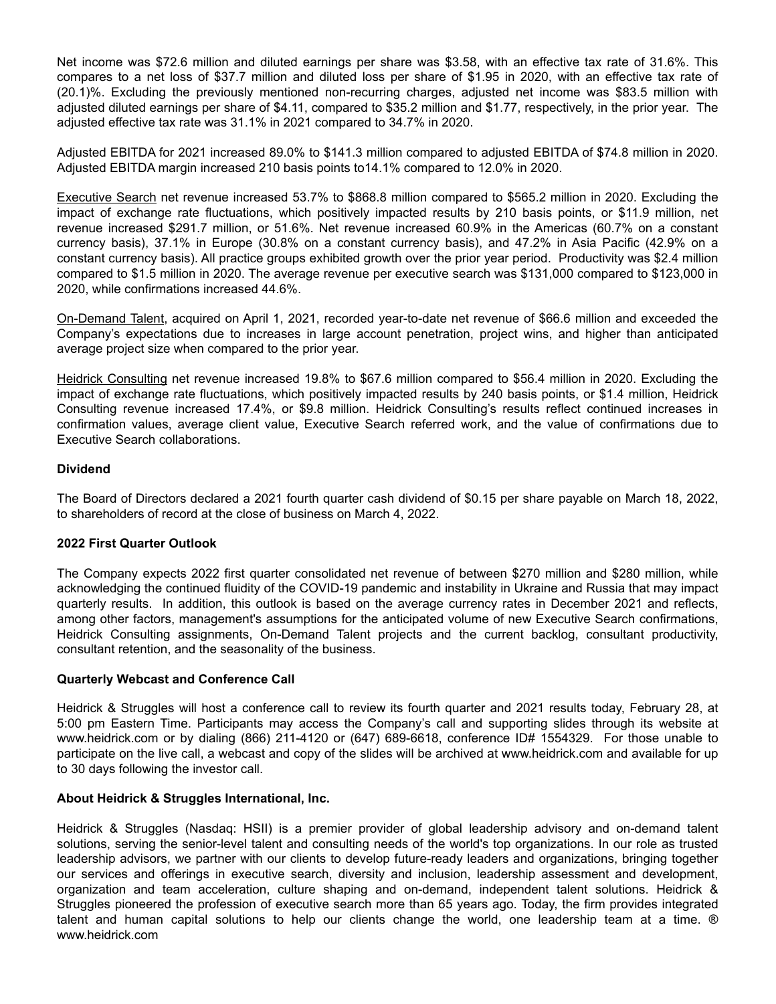Net income was \$72.6 million and diluted earnings per share was \$3.58, with an effective tax rate of 31.6%. This compares to a net loss of \$37.7 million and diluted loss per share of \$1.95 in 2020, with an effective tax rate of (20.1)%. Excluding the previously mentioned non-recurring charges, adjusted net income was \$83.5 million with adjusted diluted earnings per share of \$4.11, compared to \$35.2 million and \$1.77, respectively, in the prior year. The adjusted effective tax rate was 31.1% in 2021 compared to 34.7% in 2020.

Adjusted EBITDA for 2021 increased 89.0% to \$141.3 million compared to adjusted EBITDA of \$74.8 million in 2020. Adjusted EBITDA margin increased 210 basis points to14.1% compared to 12.0% in 2020.

Executive Search net revenue increased 53.7% to \$868.8 million compared to \$565.2 million in 2020. Excluding the impact of exchange rate fluctuations, which positively impacted results by 210 basis points, or \$11.9 million, net revenue increased \$291.7 million, or 51.6%. Net revenue increased 60.9% in the Americas (60.7% on a constant currency basis), 37.1% in Europe (30.8% on a constant currency basis), and 47.2% in Asia Pacific (42.9% on a constant currency basis). All practice groups exhibited growth over the prior year period. Productivity was \$2.4 million compared to \$1.5 million in 2020. The average revenue per executive search was \$131,000 compared to \$123,000 in 2020, while confirmations increased 44.6%.

On-Demand Talent, acquired on April 1, 2021, recorded year-to-date net revenue of \$66.6 million and exceeded the Company's expectations due to increases in large account penetration, project wins, and higher than anticipated average project size when compared to the prior year.

Heidrick Consulting net revenue increased 19.8% to \$67.6 million compared to \$56.4 million in 2020. Excluding the impact of exchange rate fluctuations, which positively impacted results by 240 basis points, or \$1.4 million, Heidrick Consulting revenue increased 17.4%, or \$9.8 million. Heidrick Consulting's results reflect continued increases in confirmation values, average client value, Executive Search referred work, and the value of confirmations due to Executive Search collaborations.

#### **Dividend**

The Board of Directors declared a 2021 fourth quarter cash dividend of \$0.15 per share payable on March 18, 2022, to shareholders of record at the close of business on March 4, 2022.

#### **2022 First Quarter Outlook**

The Company expects 2022 first quarter consolidated net revenue of between \$270 million and \$280 million, while acknowledging the continued fluidity of the COVID-19 pandemic and instability in Ukraine and Russia that may impact quarterly results. In addition, this outlook is based on the average currency rates in December 2021 and reflects, among other factors, management's assumptions for the anticipated volume of new Executive Search confirmations, Heidrick Consulting assignments, On-Demand Talent projects and the current backlog, consultant productivity, consultant retention, and the seasonality of the business.

#### **Quarterly Webcast and Conference Call**

Heidrick & Struggles will host a conference call to review its fourth quarter and 2021 results today, February 28, at 5:00 pm Eastern Time. Participants may access the Company's call and supporting slides through its website at www.heidrick.com or by dialing (866) 211-4120 or (647) 689-6618, conference ID# 1554329. For those unable to participate on the live call, a webcast and copy of the slides will be archived at www.heidrick.com and available for up to 30 days following the investor call.

#### **About Heidrick & Struggles International, Inc.**

Heidrick & Struggles (Nasdaq: HSII) is a premier provider of global leadership advisory and on-demand talent solutions, serving the senior-level talent and consulting needs of the world's top organizations. In our role as trusted leadership advisors, we partner with our clients to develop future-ready leaders and organizations, bringing together our services and offerings in executive search, diversity and inclusion, leadership assessment and development, organization and team acceleration, culture shaping and on-demand, independent talent solutions. Heidrick & Struggles pioneered the profession of executive search more than 65 years ago. Today, the firm provides integrated talent and human capital solutions to help our clients change the world, one leadership team at a time. ® www.heidrick.com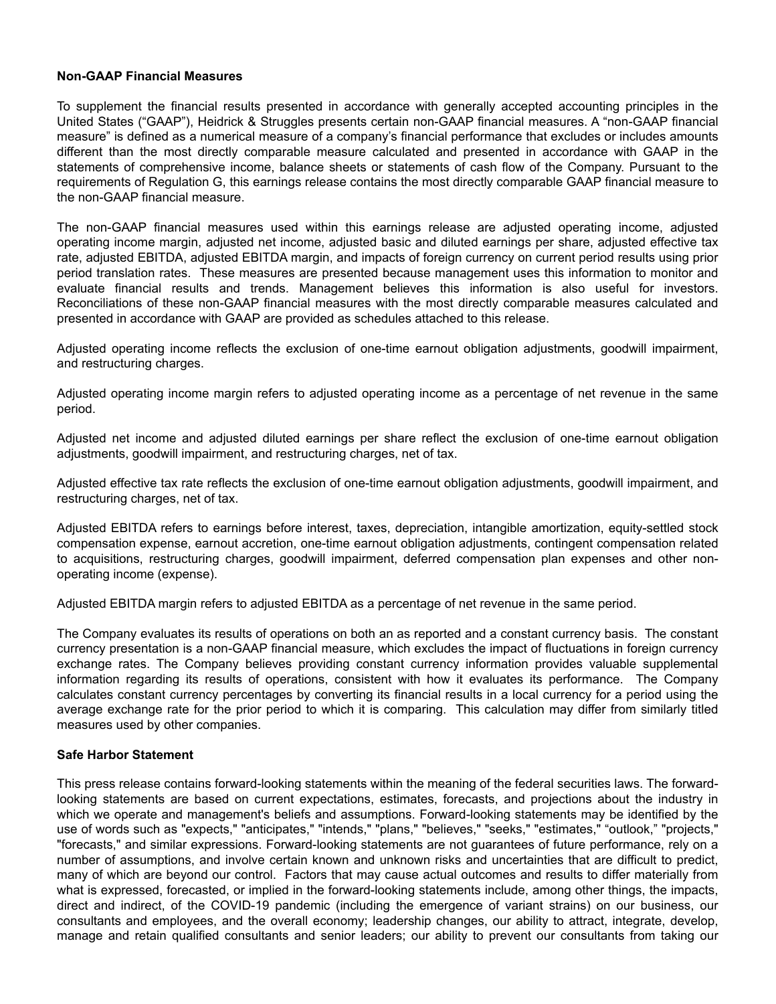#### **Non-GAAP Financial Measures**

To supplement the financial results presented in accordance with generally accepted accounting principles in the United States ("GAAP"), Heidrick & Struggles presents certain non-GAAP financial measures. A "non-GAAP financial measure" is defined as a numerical measure of a company's financial performance that excludes or includes amounts different than the most directly comparable measure calculated and presented in accordance with GAAP in the statements of comprehensive income, balance sheets or statements of cash flow of the Company. Pursuant to the requirements of Regulation G, this earnings release contains the most directly comparable GAAP financial measure to the non-GAAP financial measure.

The non-GAAP financial measures used within this earnings release are adjusted operating income, adjusted operating income margin, adjusted net income, adjusted basic and diluted earnings per share, adjusted effective tax rate, adjusted EBITDA, adjusted EBITDA margin, and impacts of foreign currency on current period results using prior period translation rates. These measures are presented because management uses this information to monitor and evaluate financial results and trends. Management believes this information is also useful for investors. Reconciliations of these non-GAAP financial measures with the most directly comparable measures calculated and presented in accordance with GAAP are provided as schedules attached to this release.

Adjusted operating income reflects the exclusion of one-time earnout obligation adjustments, goodwill impairment, and restructuring charges.

Adjusted operating income margin refers to adjusted operating income as a percentage of net revenue in the same period.

Adjusted net income and adjusted diluted earnings per share reflect the exclusion of one-time earnout obligation adjustments, goodwill impairment, and restructuring charges, net of tax.

Adjusted effective tax rate reflects the exclusion of one-time earnout obligation adjustments, goodwill impairment, and restructuring charges, net of tax.

Adjusted EBITDA refers to earnings before interest, taxes, depreciation, intangible amortization, equity-settled stock compensation expense, earnout accretion, one-time earnout obligation adjustments, contingent compensation related to acquisitions, restructuring charges, goodwill impairment, deferred compensation plan expenses and other nonoperating income (expense).

Adjusted EBITDA margin refers to adjusted EBITDA as a percentage of net revenue in the same period.

The Company evaluates its results of operations on both an as reported and a constant currency basis. The constant currency presentation is a non-GAAP financial measure, which excludes the impact of fluctuations in foreign currency exchange rates. The Company believes providing constant currency information provides valuable supplemental information regarding its results of operations, consistent with how it evaluates its performance. The Company calculates constant currency percentages by converting its financial results in a local currency for a period using the average exchange rate for the prior period to which it is comparing. This calculation may differ from similarly titled measures used by other companies.

#### **Safe Harbor Statement**

This press release contains forward-looking statements within the meaning of the federal securities laws. The forwardlooking statements are based on current expectations, estimates, forecasts, and projections about the industry in which we operate and management's beliefs and assumptions. Forward-looking statements may be identified by the use of words such as "expects," "anticipates," "intends," "plans," "believes," "seeks," "estimates," "outlook," "projects," "forecasts," and similar expressions. Forward-looking statements are not guarantees of future performance, rely on a number of assumptions, and involve certain known and unknown risks and uncertainties that are difficult to predict, many of which are beyond our control. Factors that may cause actual outcomes and results to differ materially from what is expressed, forecasted, or implied in the forward-looking statements include, among other things, the impacts, direct and indirect, of the COVID-19 pandemic (including the emergence of variant strains) on our business, our consultants and employees, and the overall economy; leadership changes, our ability to attract, integrate, develop, manage and retain qualified consultants and senior leaders; our ability to prevent our consultants from taking our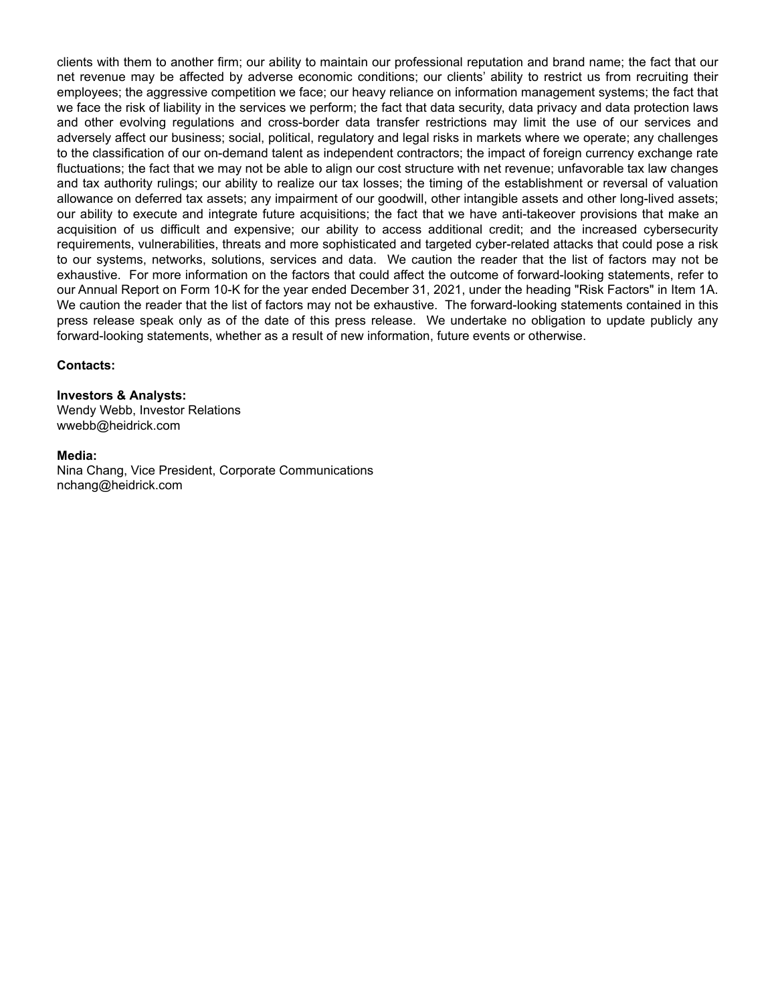clients with them to another firm; our ability to maintain our professional reputation and brand name; the fact that our net revenue may be affected by adverse economic conditions; our clients' ability to restrict us from recruiting their employees; the aggressive competition we face; our heavy reliance on information management systems; the fact that we face the risk of liability in the services we perform; the fact that data security, data privacy and data protection laws and other evolving regulations and cross-border data transfer restrictions may limit the use of our services and adversely affect our business; social, political, regulatory and legal risks in markets where we operate; any challenges to the classification of our on-demand talent as independent contractors; the impact of foreign currency exchange rate fluctuations; the fact that we may not be able to align our cost structure with net revenue; unfavorable tax law changes and tax authority rulings; our ability to realize our tax losses; the timing of the establishment or reversal of valuation allowance on deferred tax assets; any impairment of our goodwill, other intangible assets and other long-lived assets; our ability to execute and integrate future acquisitions; the fact that we have anti-takeover provisions that make an acquisition of us difficult and expensive; our ability to access additional credit; and the increased cybersecurity requirements, vulnerabilities, threats and more sophisticated and targeted cyber-related attacks that could pose a risk to our systems, networks, solutions, services and data. We caution the reader that the list of factors may not be exhaustive. For more information on the factors that could affect the outcome of forward-looking statements, refer to our Annual Report on Form 10-K for the year ended December 31, 2021, under the heading "Risk Factors" in Item 1A. We caution the reader that the list of factors may not be exhaustive. The forward-looking statements contained in this press release speak only as of the date of this press release. We undertake no obligation to update publicly any forward-looking statements, whether as a result of new information, future events or otherwise.

#### **Contacts:**

#### **Investors & Analysts:**

Wendy Webb, Investor Relations wwebb@heidrick.com

#### **Media:**

Nina Chang, Vice President, Corporate Communications nchang@heidrick.com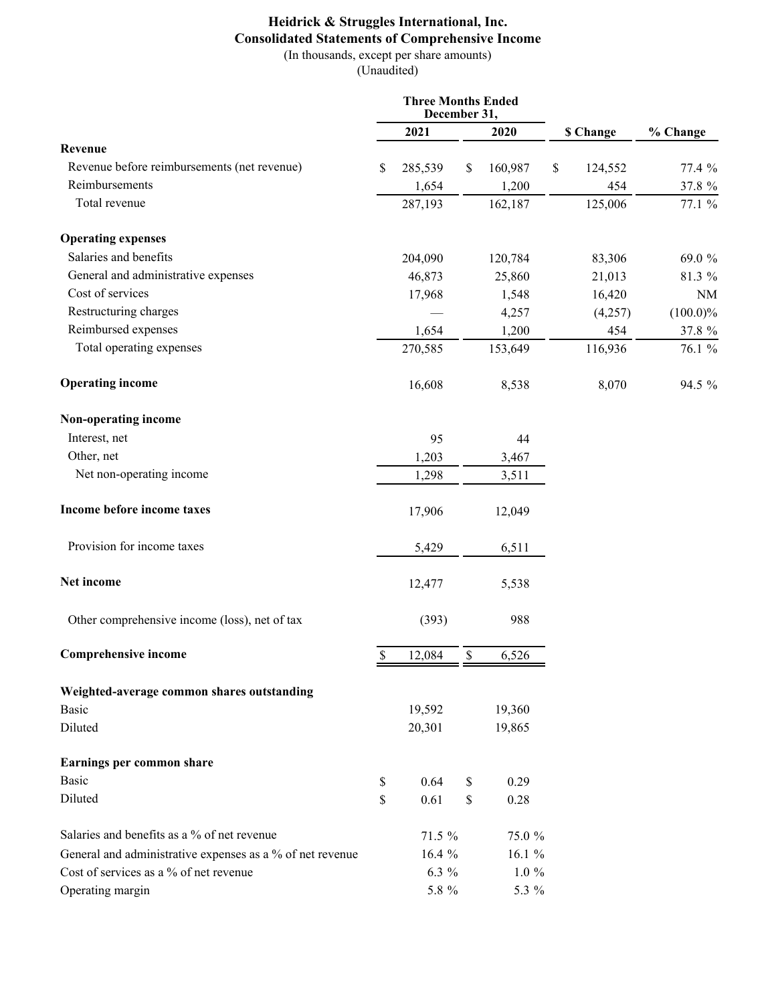# **Heidrick & Struggles International, Inc. Consolidated Statements of Comprehensive Income**

(In thousands, except per share amounts) (Unaudited)

|                                                           | <b>Three Months Ended</b><br>December 31, |          |    |          |               |             |
|-----------------------------------------------------------|-------------------------------------------|----------|----|----------|---------------|-------------|
|                                                           |                                           | 2021     |    | 2020     | \$ Change     | % Change    |
| Revenue                                                   |                                           |          |    |          |               |             |
| Revenue before reimbursements (net revenue)               | S                                         | 285,539  | \$ | 160,987  | \$<br>124,552 | 77.4 %      |
| Reimbursements                                            |                                           | 1,654    |    | 1,200    | 454           | 37.8 %      |
| Total revenue                                             |                                           | 287,193  |    | 162,187  | 125,006       | 77.1 %      |
| <b>Operating expenses</b>                                 |                                           |          |    |          |               |             |
| Salaries and benefits                                     |                                           | 204,090  |    | 120,784  | 83,306        | 69.0 %      |
| General and administrative expenses                       |                                           | 46,873   |    | 25,860   | 21,013        | 81.3 %      |
| Cost of services                                          |                                           | 17,968   |    | 1,548    | 16,420        | <b>NM</b>   |
| Restructuring charges                                     |                                           |          |    | 4,257    | (4,257)       | $(100.0)\%$ |
| Reimbursed expenses                                       |                                           | 1,654    |    | 1,200    | 454           | 37.8 %      |
| Total operating expenses                                  |                                           | 270,585  |    | 153,649  | 116,936       | 76.1 %      |
| <b>Operating income</b>                                   |                                           | 16,608   |    | 8,538    | 8,070         | 94.5 %      |
| Non-operating income                                      |                                           |          |    |          |               |             |
| Interest, net                                             |                                           | 95       |    | 44       |               |             |
| Other, net                                                |                                           | 1,203    |    | 3,467    |               |             |
| Net non-operating income                                  |                                           | 1,298    |    | 3,511    |               |             |
| Income before income taxes                                |                                           | 17,906   |    | 12,049   |               |             |
| Provision for income taxes                                |                                           | 5,429    |    | 6,511    |               |             |
| Net income                                                |                                           | 12,477   |    | 5,538    |               |             |
| Other comprehensive income (loss), net of tax             |                                           | (393)    |    | 988      |               |             |
| <b>Comprehensive income</b>                               | $\$$                                      | 12,084   | \$ | 6,526    |               |             |
| Weighted-average common shares outstanding                |                                           |          |    |          |               |             |
| <b>Basic</b>                                              |                                           | 19,592   |    | 19,360   |               |             |
| Diluted                                                   |                                           | 20,301   |    | 19,865   |               |             |
| Earnings per common share                                 |                                           |          |    |          |               |             |
| <b>Basic</b>                                              | \$                                        | 0.64     | \$ | 0.29     |               |             |
| Diluted                                                   | \$                                        | 0.61     | \$ | 0.28     |               |             |
| Salaries and benefits as a % of net revenue               |                                           | 71.5 %   |    | 75.0 %   |               |             |
| General and administrative expenses as a % of net revenue |                                           | 16.4 $%$ |    | 16.1 $%$ |               |             |
| Cost of services as a % of net revenue                    |                                           | 6.3 $%$  |    | $1.0 \%$ |               |             |
| Operating margin                                          |                                           | $5.8~\%$ |    | 5.3 %    |               |             |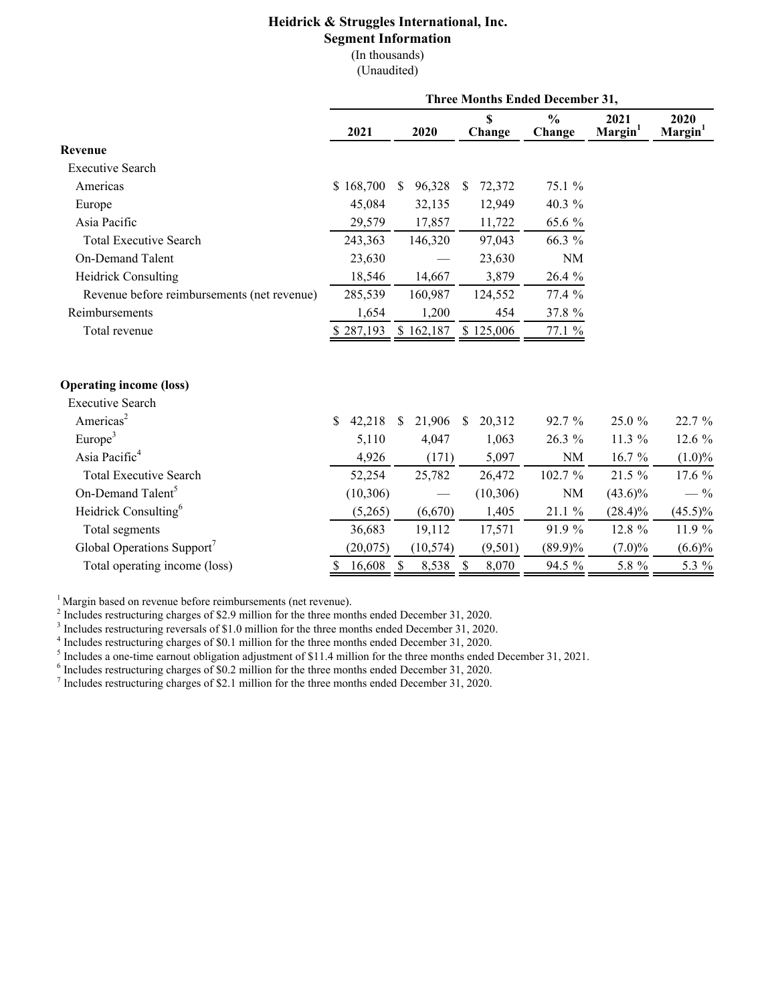# **Heidrick & Struggles International, Inc.**

# **Segment Information**

(In thousands)

(Unaudited)

| <b>Three Months Ended December 31,</b> |                        |                                    |                         |                             |                             |  |  |  |  |
|----------------------------------------|------------------------|------------------------------------|-------------------------|-----------------------------|-----------------------------|--|--|--|--|
| 2021                                   | 2020                   | \$<br>Change                       | $\frac{0}{0}$<br>Change | 2021<br>Margin <sup>1</sup> | 2020<br>Margin <sup>1</sup> |  |  |  |  |
|                                        |                        |                                    |                         |                             |                             |  |  |  |  |
|                                        |                        |                                    |                         |                             |                             |  |  |  |  |
| \$168,700                              | 96,328<br>$\mathbb{S}$ | 72,372<br><sup>\$</sup>            | 75.1 %                  |                             |                             |  |  |  |  |
| 45,084                                 | 32,135                 | 12,949                             | 40.3 %                  |                             |                             |  |  |  |  |
| 29,579                                 | 17,857                 | 11,722                             | 65.6 %                  |                             |                             |  |  |  |  |
| 243,363                                | 146,320                | 97,043                             | 66.3 %                  |                             |                             |  |  |  |  |
| 23,630                                 |                        | 23,630                             | $\rm NM$                |                             |                             |  |  |  |  |
| 18,546                                 | 14,667                 | 3,879                              | 26.4 %                  |                             |                             |  |  |  |  |
| 285,539                                | 160,987                | 124,552                            | 77.4 %                  |                             |                             |  |  |  |  |
| 1,654                                  | 1,200                  | 454                                | 37.8 %                  |                             |                             |  |  |  |  |
| \$287,193                              | \$162,187              | \$125,006                          | 77.1 %                  |                             |                             |  |  |  |  |
|                                        |                        |                                    |                         |                             |                             |  |  |  |  |
|                                        |                        |                                    |                         |                             |                             |  |  |  |  |
| \$<br>42,218                           | 21,906<br><sup>S</sup> | 20,312<br><sup>\$</sup>            | 92.7 %                  | 25.0 %                      | 22.7 %                      |  |  |  |  |
| 5,110                                  | 4,047                  | 1,063                              | 26.3 %                  | 11.3 %                      | 12.6 %                      |  |  |  |  |
| 4,926                                  | (171)                  | 5,097                              | NM                      | 16.7 %                      | $(1.0)\%$                   |  |  |  |  |
| 52,254                                 | 25,782                 | 26,472                             | 102.7 %                 | 21.5 %                      | 17.6 %                      |  |  |  |  |
| (10, 306)                              |                        | (10, 306)                          | NM                      | $(43.6)\%$                  | $-$ %                       |  |  |  |  |
| (5,265)                                | (6,670)                | 1,405                              | 21.1 %                  | $(28.4)\%$                  | $(45.5)\%$                  |  |  |  |  |
| 36,683                                 | 19,112                 | 17,571                             | 91.9 %                  | 12.8 %                      | 11.9 %                      |  |  |  |  |
| (20,075)                               | (10, 574)              | (9,501)                            | $(89.9)\%$              | $(7.0)\%$                   | $(6.6)\%$                   |  |  |  |  |
| 16,608<br>\$                           | $\mathcal{S}$<br>8,538 | $\boldsymbol{\mathsf{S}}$<br>8,070 | 94.5 %                  | 5.8 %                       | 5.3 %                       |  |  |  |  |
|                                        |                        |                                    |                         |                             |                             |  |  |  |  |

<sup>1</sup> Margin based on revenue before reimbursements (net revenue).

 $2^{2}$  Includes restructuring charges of \$2.9 million for the three months ended December 31, 2020.

<sup>3</sup> Includes restructuring reversals of \$1.0 million for the three months ended December 31, 2020.

<sup>4</sup> Includes restructuring charges of \$0.1 million for the three months ended December 31, 2020.<br><sup>5</sup> Includes a one-time earnout obligation adjustment of \$11.4 million for the three months ended December 31, 2021.

 $6$  Includes restructuring charges of \$0.2 million for the three months ended December 31, 2020.

 $^7$  Includes restructuring charges of \$2.1 million for the three months ended December 31, 2020.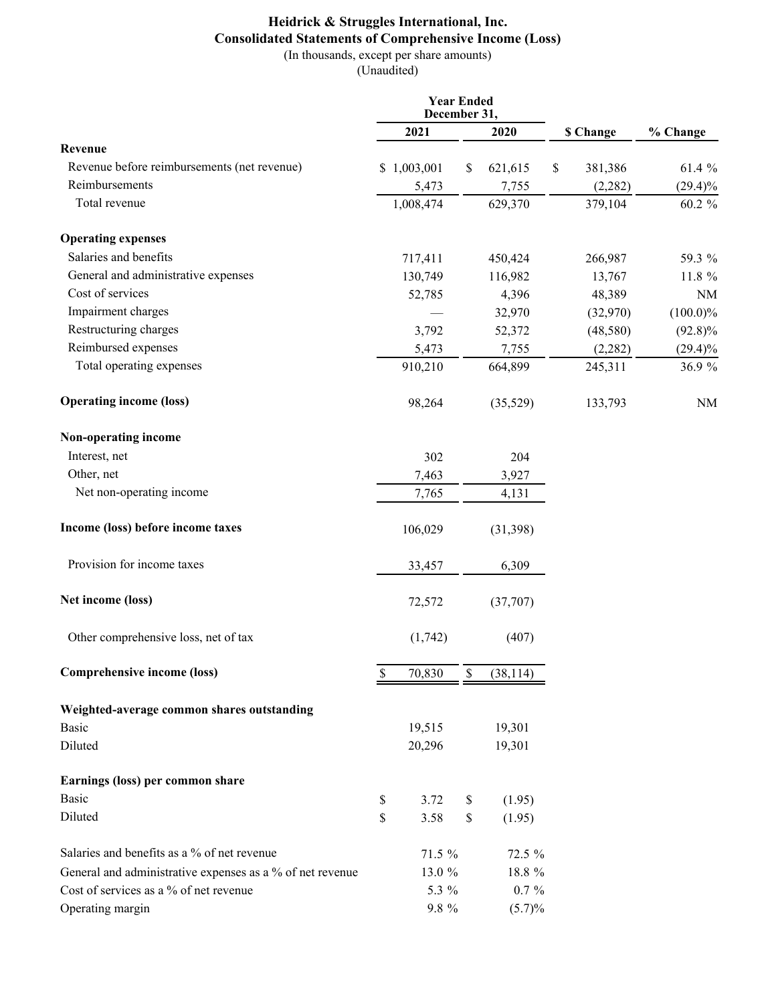# **Heidrick & Struggles International, Inc. Consolidated Statements of Comprehensive Income (Loss)** (In thousands, except per share amounts)

(Unaudited)

|                                                           | <b>Year Ended</b><br>December 31, |    |           |               |             |
|-----------------------------------------------------------|-----------------------------------|----|-----------|---------------|-------------|
|                                                           | 2021                              |    | 2020      | \$ Change     | % Change    |
| Revenue                                                   |                                   |    |           |               |             |
| Revenue before reimbursements (net revenue)               | \$1,003,001                       | \$ | 621,615   | \$<br>381,386 | 61.4 %      |
| Reimbursements                                            | 5,473                             |    | 7,755     | (2, 282)      | $(29.4)\%$  |
| Total revenue                                             | 1,008,474                         |    | 629,370   | 379,104       | 60.2 %      |
| <b>Operating expenses</b>                                 |                                   |    |           |               |             |
| Salaries and benefits                                     | 717,411                           |    | 450,424   | 266,987       | 59.3 %      |
| General and administrative expenses                       | 130,749                           |    | 116,982   | 13,767        | 11.8 %      |
| Cost of services                                          | 52,785                            |    | 4,396     | 48,389        | <b>NM</b>   |
| Impairment charges                                        |                                   |    | 32,970    | (32,970)      | $(100.0)\%$ |
| Restructuring charges                                     | 3,792                             |    | 52,372    | (48,580)      | $(92.8)\%$  |
| Reimbursed expenses                                       | 5,473                             |    | 7,755     | (2, 282)      | $(29.4)\%$  |
| Total operating expenses                                  | 910,210                           |    | 664,899   | 245,311       | 36.9 %      |
| <b>Operating income (loss)</b>                            | 98,264                            |    | (35,529)  | 133,793       | <b>NM</b>   |
| Non-operating income                                      |                                   |    |           |               |             |
| Interest, net                                             | 302                               |    | 204       |               |             |
| Other, net                                                | 7,463                             |    | 3,927     |               |             |
| Net non-operating income                                  | 7,765                             |    | 4,131     |               |             |
| Income (loss) before income taxes                         | 106,029                           |    | (31, 398) |               |             |
| Provision for income taxes                                | 33,457                            |    | 6,309     |               |             |
| Net income (loss)                                         | 72,572                            |    | (37,707)  |               |             |
| Other comprehensive loss, net of tax                      | (1,742)                           |    | (407)     |               |             |
| Comprehensive income (loss)                               | \$<br>70,830                      | \$ | (38, 114) |               |             |
| Weighted-average common shares outstanding                |                                   |    |           |               |             |
| Basic                                                     | 19,515                            |    | 19,301    |               |             |
| Diluted                                                   | 20,296                            |    | 19,301    |               |             |
| Earnings (loss) per common share                          |                                   |    |           |               |             |
| Basic                                                     | \$<br>3.72                        | \$ | (1.95)    |               |             |
| Diluted                                                   | \$<br>3.58                        | \$ | (1.95)    |               |             |
| Salaries and benefits as a % of net revenue               | 71.5 %                            |    | 72.5 %    |               |             |
| General and administrative expenses as a % of net revenue | 13.0 %                            |    | 18.8 %    |               |             |
| Cost of services as a % of net revenue                    | 5.3 %                             |    | $0.7 \%$  |               |             |
| Operating margin                                          | $9.8 \%$                          |    | $(5.7)\%$ |               |             |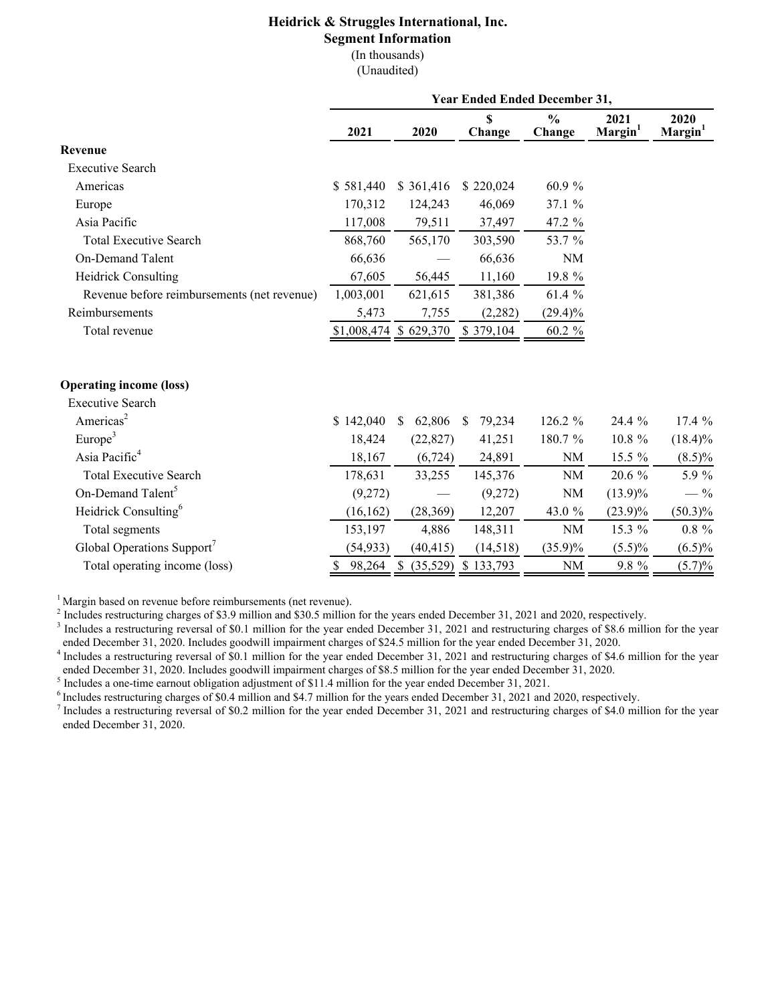# **Heidrick & Struggles International, Inc.**

# **Segment Information**

(In thousands) (Unaudited)

|                                             | <b>Year Ended Ended December 31,</b> |                         |                        |                         |                             |                             |  |  |  |  |
|---------------------------------------------|--------------------------------------|-------------------------|------------------------|-------------------------|-----------------------------|-----------------------------|--|--|--|--|
|                                             | 2021                                 | 2020                    | S<br>Change            | $\frac{0}{0}$<br>Change | 2021<br>Margin <sup>1</sup> | 2020<br>Margin <sup>1</sup> |  |  |  |  |
| Revenue                                     |                                      |                         |                        |                         |                             |                             |  |  |  |  |
| <b>Executive Search</b>                     |                                      |                         |                        |                         |                             |                             |  |  |  |  |
| Americas                                    | \$581,440                            | \$361,416               | \$220,024              | 60.9 %                  |                             |                             |  |  |  |  |
| Europe                                      | 170,312                              | 124,243                 | 46,069                 | 37.1 %                  |                             |                             |  |  |  |  |
| Asia Pacific                                | 117,008                              | 79,511                  | 37,497                 | 47.2 %                  |                             |                             |  |  |  |  |
| <b>Total Executive Search</b>               | 868,760                              | 565,170                 | 303,590                | 53.7 %                  |                             |                             |  |  |  |  |
| On-Demand Talent                            | 66,636                               |                         | 66,636                 | <b>NM</b>               |                             |                             |  |  |  |  |
| <b>Heidrick Consulting</b>                  | 67,605                               | 56,445                  | 11,160                 | 19.8 %                  |                             |                             |  |  |  |  |
| Revenue before reimbursements (net revenue) | 1,003,001                            | 621,615                 | 381,386                | 61.4 %                  |                             |                             |  |  |  |  |
| Reimbursements                              | 5,473                                | 7,755                   | (2,282)                | $(29.4)\%$              |                             |                             |  |  |  |  |
| Total revenue                               |                                      | $$1,008,474$ \$ 629,370 | \$379,104              | $60.2\ \%$              |                             |                             |  |  |  |  |
| <b>Operating income (loss)</b>              |                                      |                         |                        |                         |                             |                             |  |  |  |  |
| <b>Executive Search</b>                     |                                      |                         |                        |                         |                             |                             |  |  |  |  |
| Americas <sup>2</sup>                       | \$142,040                            | 62,806<br>S.            | 79,234<br><sup>S</sup> | 126.2 %                 | 24.4 %                      | 17.4 %                      |  |  |  |  |
| Europe <sup>3</sup>                         | 18,424                               | (22, 827)               | 41,251                 | 180.7 %                 | 10.8 %                      | $(18.4)\%$                  |  |  |  |  |
| Asia Pacific <sup>4</sup>                   | 18,167                               | (6, 724)                | 24,891                 | <b>NM</b>               | 15.5 %                      | $(8.5)\%$                   |  |  |  |  |
| <b>Total Executive Search</b>               | 178,631                              | 33,255                  | 145,376                | <b>NM</b>               | 20.6 %                      | 5.9 %                       |  |  |  |  |
| On-Demand Talent <sup>5</sup>               | (9,272)                              |                         | (9,272)                | <b>NM</b>               | $(13.9)\%$                  | $-$ %                       |  |  |  |  |
| Heidrick Consulting <sup>6</sup>            | (16, 162)                            | (28, 369)               | 12,207                 | 43.0 %                  | $(23.9)\%$                  | $(50.3)\%$                  |  |  |  |  |
| Total segments                              | 153,197                              | 4,886                   | 148,311                | $\rm NM$                | 15.3 %                      | $0.8~\%$                    |  |  |  |  |
| Global Operations Support <sup>7</sup>      | (54, 933)                            | (40, 415)               | (14,518)               | $(35.9)\%$              | $(5.5)\%$                   | $(6.5)\%$                   |  |  |  |  |
| Total operating income (loss)               | \$98,264                             | \$ (35,529)             | \$133,793              | NM                      | 9.8 %                       | $(5.7)\%$                   |  |  |  |  |

<sup>1</sup> Margin based on revenue before reimbursements (net revenue).

<sup>2</sup> Includes restructuring charges of \$3.9 million and \$30.5 million for the years ended December 31, 2021 and 2020, respectively.

<sup>3</sup> Includes a restructuring reversal of \$0.1 million for the year ended December 31, 2021 and restructuring charges of \$8.6 million for the year ended December 31, 2020. Includes goodwill impairment charges of \$24.5 million for the year ended December 31, 2020.

 $4$  Includes a restructuring reversal of \$0.1 million for the year ended December 31, 2021 and restructuring charges of \$4.6 million for the year ended December 31, 2020. Includes goodwill impairment charges of \$8.5 million for the year ended December 31, 2020.

<sup>5</sup> Includes a one-time earnout obligation adjustment of \$11.4 million for the year ended December 31, 2021.

 $6$  Includes restructuring charges of \$0.4 million and \$4.7 million for the years ended December 31, 2021 and 2020, respectively.

 $<sup>7</sup>$  Includes a restructuring reversal of \$0.2 million for the year ended December 31, 2021 and restructuring charges of \$4.0 million for the year</sup> ended December 31, 2020.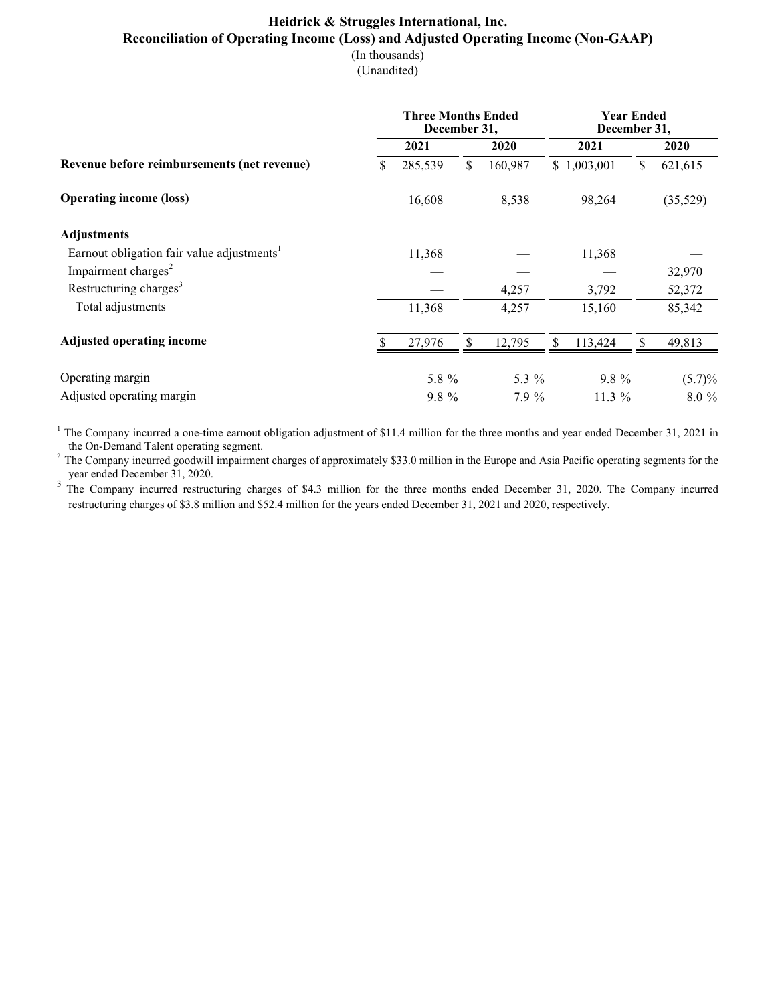#### **Heidrick & Struggles International, Inc. Reconciliation of Operating Income (Loss) and Adjusted Operating Income (Non-GAAP)** (In thousands)

(Unaudited)

|                                                        |    | <b>Three Months Ended</b><br>December 31, |    | <b>Year Ended</b><br>December 31, |    |             |    |           |
|--------------------------------------------------------|----|-------------------------------------------|----|-----------------------------------|----|-------------|----|-----------|
|                                                        |    | 2021                                      |    | 2020                              |    | 2021        |    | 2020      |
| Revenue before reimbursements (net revenue)            | \$ | 285,539                                   | \$ | 160,987                           |    | \$1,003,001 | \$ | 621,615   |
| <b>Operating income (loss)</b>                         |    | 16,608                                    |    | 8,538                             |    | 98,264      |    | (35,529)  |
| <b>Adjustments</b>                                     |    |                                           |    |                                   |    |             |    |           |
| Earnout obligation fair value adjustments <sup>1</sup> |    | 11,368                                    |    |                                   |    | 11,368      |    |           |
| Impairment charges <sup>2</sup>                        |    |                                           |    |                                   |    |             |    | 32,970    |
| Restructuring charges <sup>3</sup>                     |    |                                           |    | 4,257                             |    | 3,792       |    | 52,372    |
| Total adjustments                                      |    | 11,368                                    |    | 4,257                             |    | 15,160      |    | 85,342    |
| <b>Adjusted operating income</b>                       |    | 27,976                                    | \$ | 12,795                            | \$ | 113,424     | \$ | 49,813    |
| Operating margin                                       |    | 5.8 %                                     |    | 5.3 %                             |    | 9.8 %       |    | $(5.7)\%$ |
| Adjusted operating margin                              |    | $9.8 \%$                                  |    | 7.9%                              |    | $11.3\%$    |    | $8.0\%$   |

<sup>1</sup> The Company incurred a one-time earnout obligation adjustment of \$11.4 million for the three months and year ended December 31, 2021 in the On-Demand Talent operating segment.

<sup>2</sup> The Company incurred goodwill impairment charges of approximately \$33.0 million in the Europe and Asia Pacific operating segments for the year ended December 31, 2020.

<sup>3</sup> The Company incurred restructuring charges of \$4.3 million for the three months ended December 31, 2020. The Company incurred restructuring charges of \$3.8 million and \$52.4 million for the years ended December 31, 2021 and 2020, respectively.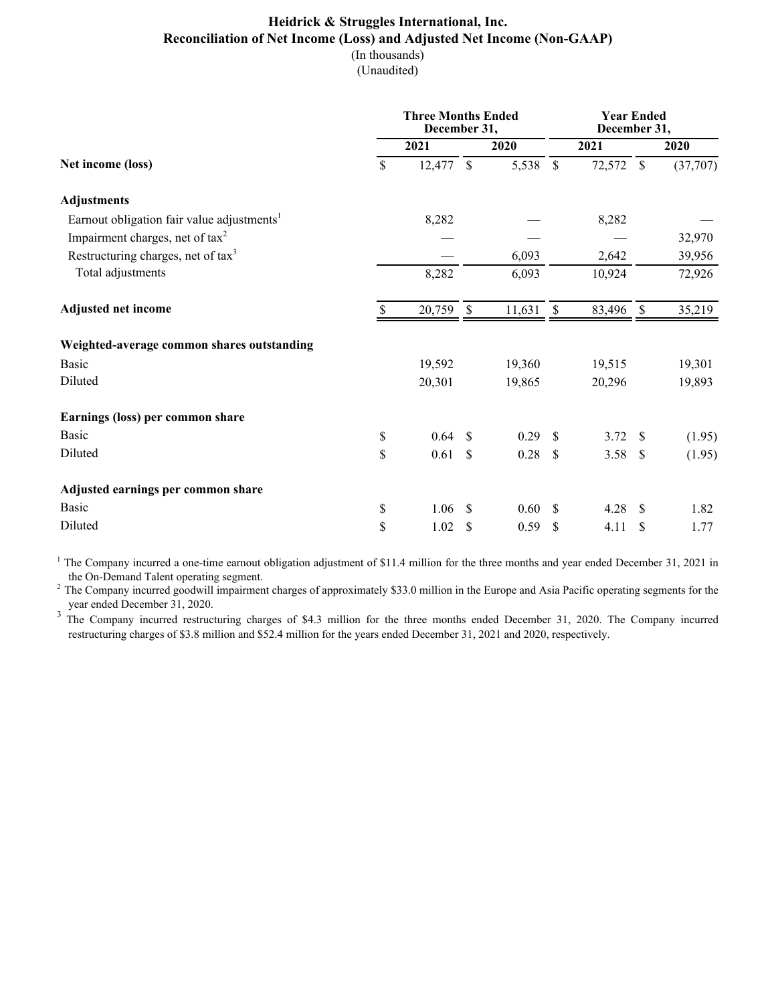#### **Heidrick & Struggles International, Inc. Reconciliation of Net Income (Loss) and Adjusted Net Income (Non-GAAP)** (In thousands)

(Unaudited)

|                                                        | <b>Three Months Ended</b><br>December 31, |        |               |           |               | <b>Year Ended</b><br>December 31, |               |          |  |  |
|--------------------------------------------------------|-------------------------------------------|--------|---------------|-----------|---------------|-----------------------------------|---------------|----------|--|--|
|                                                        |                                           | 2021   |               | 2020      |               | 2021                              |               | 2020     |  |  |
| Net income (loss)                                      | \$                                        | 12,477 | $\mathcal{S}$ | 5,538     | $\mathcal{S}$ | 72,572                            | $\mathcal{S}$ | (37,707) |  |  |
| <b>Adjustments</b>                                     |                                           |        |               |           |               |                                   |               |          |  |  |
| Earnout obligation fair value adjustments <sup>1</sup> |                                           | 8,282  |               |           |               | 8,282                             |               |          |  |  |
| Impairment charges, net of $tax^2$                     |                                           |        |               |           |               |                                   |               | 32,970   |  |  |
| Restructuring charges, net of tax <sup>3</sup>         |                                           |        |               | 6,093     |               | 2,642                             |               | 39,956   |  |  |
| Total adjustments                                      |                                           | 8,282  |               | 6,093     |               | 10,924                            |               | 72,926   |  |  |
| <b>Adjusted net income</b>                             | <sup>\$</sup>                             | 20,759 | $\sqrt{3}$    | 11,631 \$ |               | 83,496                            | $\mathbb{S}$  | 35,219   |  |  |
| Weighted-average common shares outstanding             |                                           |        |               |           |               |                                   |               |          |  |  |
| <b>Basic</b>                                           |                                           | 19,592 |               | 19,360    |               | 19,515                            |               | 19,301   |  |  |
| Diluted                                                |                                           | 20,301 |               | 19,865    |               | 20,296                            |               | 19,893   |  |  |
| Earnings (loss) per common share                       |                                           |        |               |           |               |                                   |               |          |  |  |
| <b>Basic</b>                                           | \$                                        | 0.64   | <sup>\$</sup> | 0.29      | <sup>S</sup>  | 3.72                              | -S            | (1.95)   |  |  |
| Diluted                                                | \$                                        | 0.61   | <sup>\$</sup> | 0.28      | $\mathcal{S}$ | 3.58                              | -\$           | (1.95)   |  |  |
| Adjusted earnings per common share                     |                                           |        |               |           |               |                                   |               |          |  |  |
| <b>Basic</b>                                           | \$                                        | 1.06   | S             | 0.60      | <sup>S</sup>  | 4.28                              | S             | 1.82     |  |  |
| Diluted                                                | \$                                        | 1.02   | \$            | 0.59      | \$            | 4.11                              | \$            | 1.77     |  |  |

<sup>1</sup> The Company incurred a one-time earnout obligation adjustment of \$11.4 million for the three months and year ended December 31, 2021 in the On-Demand Talent operating segment.

<sup>2</sup> The Company incurred goodwill impairment charges of approximately \$33.0 million in the Europe and Asia Pacific operating segments for the year ended December 31, 2020.

<sup>3</sup>The Company incurred restructuring charges of \$4.3 million for the three months ended December 31, 2020. The Company incurred restructuring charges of \$3.8 million and \$52.4 million for the years ended December 31, 2021 and 2020, respectively.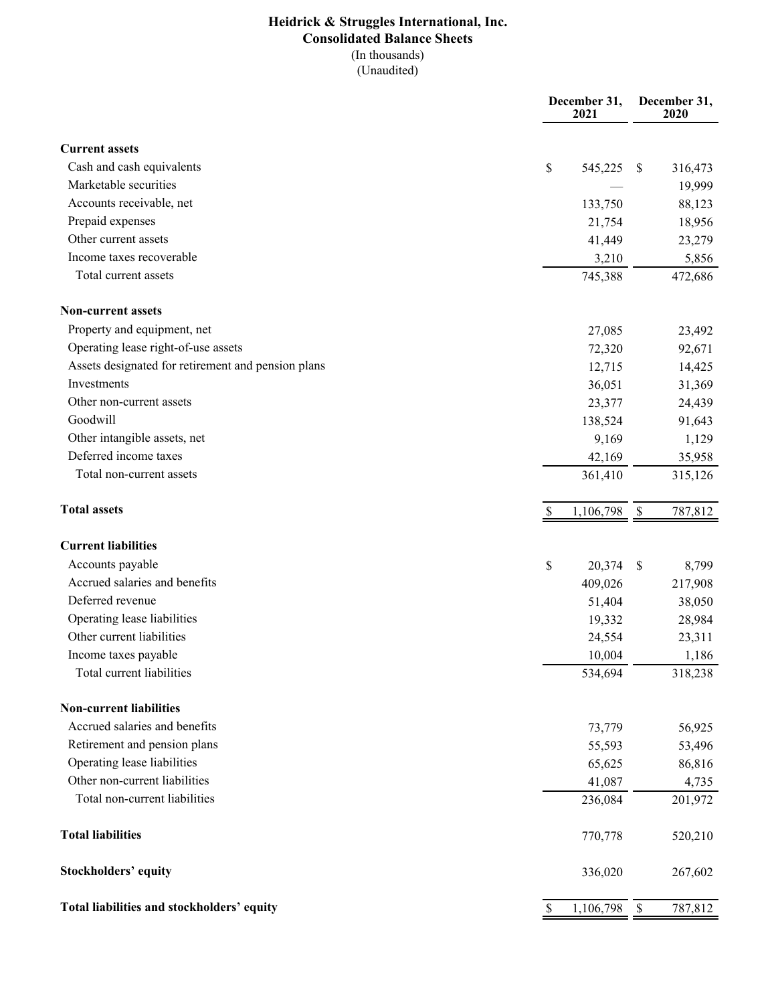# **Heidrick & Struggles International, Inc. Consolidated Balance Sheets** (In thousands)

 $\overline{(Unaudited)}$ 

|                                                    | December 31,<br>2021      | December 31,<br>2020                 |
|----------------------------------------------------|---------------------------|--------------------------------------|
| <b>Current assets</b>                              |                           |                                      |
| Cash and cash equivalents                          | \$<br>545,225             | <sup>\$</sup><br>316,473             |
| Marketable securities                              |                           | 19,999                               |
| Accounts receivable, net                           | 133,750                   | 88,123                               |
| Prepaid expenses                                   | 21,754                    | 18,956                               |
| Other current assets                               | 41,449                    | 23,279                               |
| Income taxes recoverable                           | 3,210                     | 5,856                                |
| Total current assets                               | 745,388                   | 472,686                              |
| <b>Non-current assets</b>                          |                           |                                      |
| Property and equipment, net                        | 27,085                    | 23,492                               |
| Operating lease right-of-use assets                | 72,320                    | 92,671                               |
| Assets designated for retirement and pension plans | 12,715                    | 14,425                               |
| Investments                                        | 36,051                    | 31,369                               |
| Other non-current assets                           | 23,377                    | 24,439                               |
| Goodwill                                           | 138,524                   | 91,643                               |
| Other intangible assets, net                       | 9,169                     | 1,129                                |
| Deferred income taxes                              | 42,169                    | 35,958                               |
| Total non-current assets                           | 361,410                   | 315,126                              |
| <b>Total assets</b>                                | 1,106,798                 | $\boldsymbol{\mathsf{S}}$<br>787,812 |
| <b>Current liabilities</b>                         |                           |                                      |
| Accounts payable                                   | \$<br>20,374              | 8,799<br><sup>\$</sup>               |
| Accrued salaries and benefits                      | 409,026                   | 217,908                              |
| Deferred revenue                                   | 51,404                    | 38,050                               |
| Operating lease liabilities                        | 19,332                    | 28,984                               |
| Other current liabilities                          | 24,554                    | 23,311                               |
| Income taxes payable                               | 10,004                    | 1,186                                |
| Total current liabilities                          | 534,694                   | 318,238                              |
| <b>Non-current liabilities</b>                     |                           |                                      |
| Accrued salaries and benefits                      | 73,779                    | 56,925                               |
| Retirement and pension plans                       | 55,593                    | 53,496                               |
| Operating lease liabilities                        | 65,625                    | 86,816                               |
| Other non-current liabilities                      | 41,087                    | 4,735                                |
| Total non-current liabilities                      | 236,084                   | 201,972                              |
| <b>Total liabilities</b>                           | 770,778                   | 520,210                              |
| <b>Stockholders' equity</b>                        | 336,020                   | 267,602                              |
| Total liabilities and stockholders' equity         | 1,106,798<br><sup>2</sup> | 787,812<br>$\mathbb{S}$              |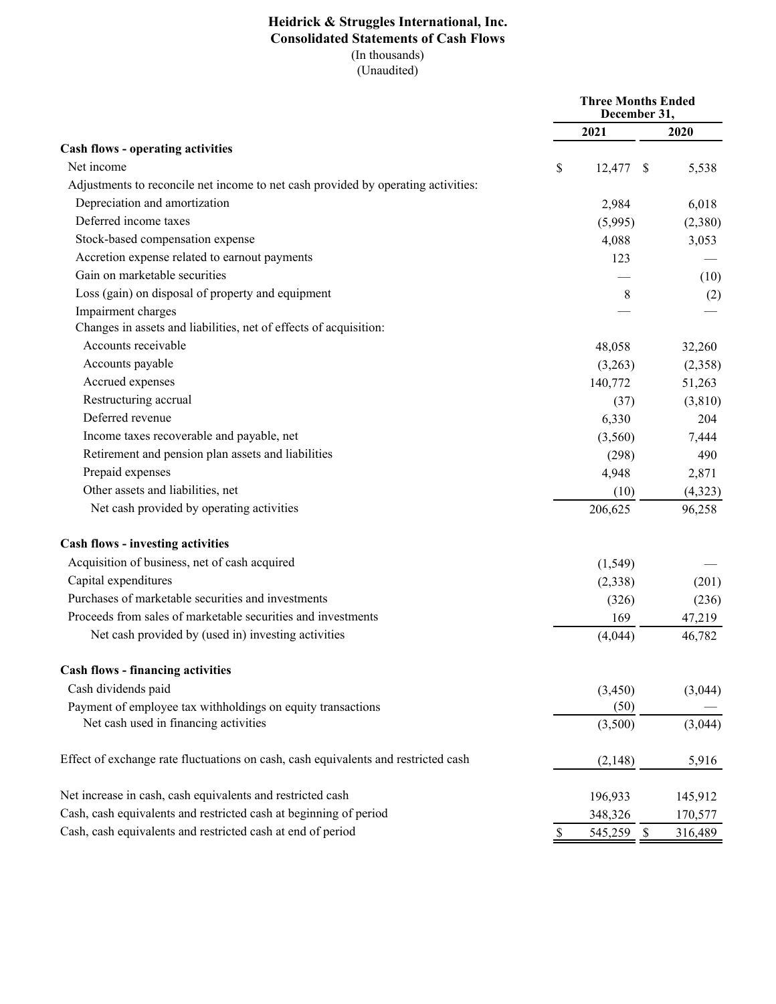### **Heidrick & Struggles International, Inc. Consolidated Statements of Cash Flows** (In thousands)  $\overline{(Unaudited)}$

|                                                                                    | <b>Three Months Ended</b><br>December 31, |             |  |         |
|------------------------------------------------------------------------------------|-------------------------------------------|-------------|--|---------|
|                                                                                    |                                           | 2021        |  | 2020    |
| <b>Cash flows - operating activities</b>                                           |                                           |             |  |         |
| Net income                                                                         | \$                                        | $12,477$ \$ |  | 5,538   |
| Adjustments to reconcile net income to net cash provided by operating activities:  |                                           |             |  |         |
| Depreciation and amortization                                                      |                                           | 2,984       |  | 6,018   |
| Deferred income taxes                                                              |                                           | (5,995)     |  | (2,380) |
| Stock-based compensation expense                                                   |                                           | 4,088       |  | 3,053   |
| Accretion expense related to earnout payments                                      |                                           | 123         |  |         |
| Gain on marketable securities                                                      |                                           |             |  | (10)    |
| Loss (gain) on disposal of property and equipment                                  |                                           | 8           |  | (2)     |
| Impairment charges                                                                 |                                           |             |  |         |
| Changes in assets and liabilities, net of effects of acquisition:                  |                                           |             |  |         |
| Accounts receivable                                                                |                                           | 48,058      |  | 32,260  |
| Accounts payable                                                                   |                                           | (3,263)     |  | (2,358) |
| Accrued expenses                                                                   |                                           | 140,772     |  | 51,263  |
| Restructuring accrual                                                              |                                           | (37)        |  | (3,810) |
| Deferred revenue                                                                   |                                           | 6,330       |  | 204     |
| Income taxes recoverable and payable, net                                          |                                           | (3,560)     |  | 7,444   |
| Retirement and pension plan assets and liabilities                                 |                                           | (298)       |  | 490     |
| Prepaid expenses                                                                   |                                           | 4,948       |  | 2,871   |
| Other assets and liabilities, net                                                  |                                           | (10)        |  | (4,323) |
| Net cash provided by operating activities                                          |                                           | 206,625     |  | 96,258  |
| <b>Cash flows - investing activities</b>                                           |                                           |             |  |         |
| Acquisition of business, net of cash acquired                                      |                                           | (1, 549)    |  |         |
| Capital expenditures                                                               |                                           | (2,338)     |  | (201)   |
| Purchases of marketable securities and investments                                 |                                           | (326)       |  | (236)   |
| Proceeds from sales of marketable securities and investments                       |                                           | 169         |  | 47,219  |
| Net cash provided by (used in) investing activities                                |                                           | (4,044)     |  | 46,782  |
| <b>Cash flows - financing activities</b>                                           |                                           |             |  |         |
| Cash dividends paid                                                                |                                           | (3, 450)    |  | (3,044) |
| Payment of employee tax withholdings on equity transactions                        |                                           | (50)        |  |         |
| Net cash used in financing activities                                              |                                           | (3,500)     |  | (3,044) |
| Effect of exchange rate fluctuations on cash, cash equivalents and restricted cash |                                           | (2,148)     |  | 5,916   |
| Net increase in cash, cash equivalents and restricted cash                         |                                           | 196,933     |  | 145,912 |
| Cash, cash equivalents and restricted cash at beginning of period                  |                                           | 348,326     |  | 170,577 |
| Cash, cash equivalents and restricted cash at end of period                        | \$                                        | 545,259 \$  |  | 316,489 |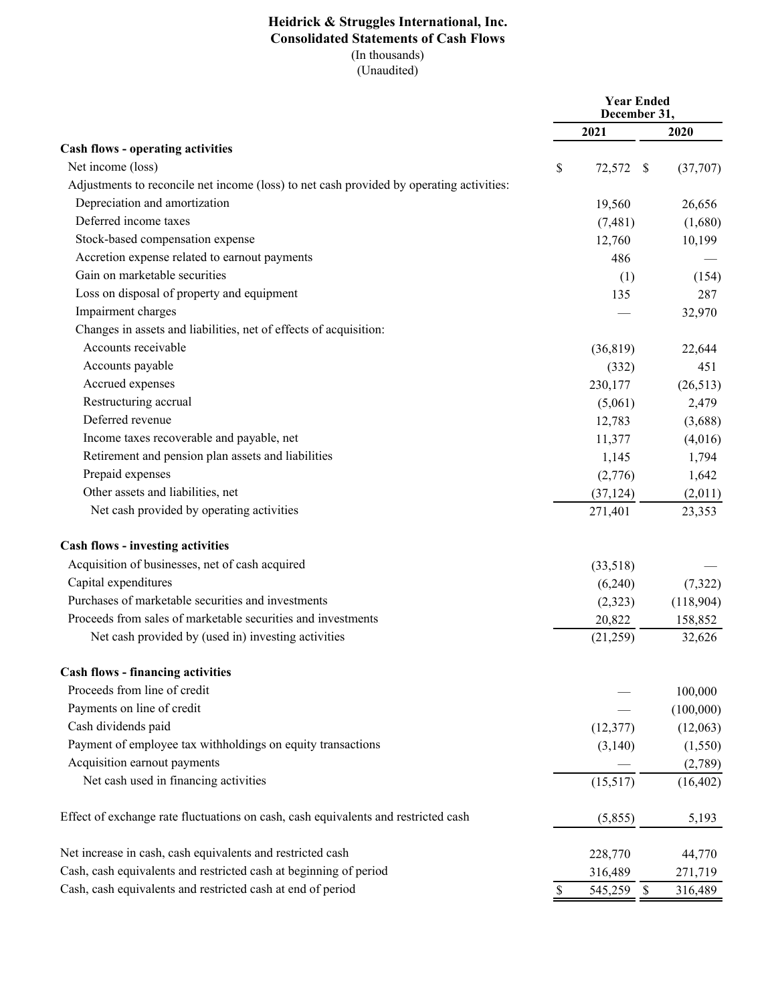### **Heidrick & Struggles International, Inc. Consolidated Statements of Cash Flows** (In thousands)  $\overline{(Unaudited)}$

|                                                                                          | <b>Year Ended</b><br>December 31, |                         |           |
|------------------------------------------------------------------------------------------|-----------------------------------|-------------------------|-----------|
|                                                                                          |                                   | 2021                    | 2020      |
| <b>Cash flows - operating activities</b>                                                 |                                   |                         |           |
| Net income (loss)                                                                        | \$                                | 72,572 \$               | (37,707)  |
| Adjustments to reconcile net income (loss) to net cash provided by operating activities: |                                   |                         |           |
| Depreciation and amortization                                                            |                                   | 19,560                  | 26,656    |
| Deferred income taxes                                                                    |                                   | (7,481)                 | (1,680)   |
| Stock-based compensation expense                                                         |                                   | 12,760                  | 10,199    |
| Accretion expense related to earnout payments                                            |                                   | 486                     |           |
| Gain on marketable securities                                                            |                                   | (1)                     | (154)     |
| Loss on disposal of property and equipment                                               |                                   | 135                     | 287       |
| Impairment charges                                                                       |                                   |                         | 32,970    |
| Changes in assets and liabilities, net of effects of acquisition:                        |                                   |                         |           |
| Accounts receivable                                                                      |                                   | (36, 819)               | 22,644    |
| Accounts payable                                                                         |                                   | (332)                   | 451       |
| Accrued expenses                                                                         |                                   | 230,177                 | (26,513)  |
| Restructuring accrual                                                                    |                                   | (5,061)                 | 2,479     |
| Deferred revenue                                                                         |                                   | 12,783                  | (3,688)   |
| Income taxes recoverable and payable, net                                                |                                   | 11,377                  | (4,016)   |
| Retirement and pension plan assets and liabilities                                       |                                   | 1,145                   | 1,794     |
| Prepaid expenses                                                                         |                                   | (2,776)                 | 1,642     |
| Other assets and liabilities, net                                                        |                                   | (37, 124)               | (2,011)   |
| Net cash provided by operating activities                                                |                                   | 271,401                 | 23,353    |
| <b>Cash flows - investing activities</b>                                                 |                                   |                         |           |
| Acquisition of businesses, net of cash acquired                                          |                                   | (33,518)                |           |
| Capital expenditures                                                                     |                                   | (6,240)                 | (7, 322)  |
| Purchases of marketable securities and investments                                       |                                   | (2,323)                 | (118,904) |
| Proceeds from sales of marketable securities and investments                             |                                   | 20,822                  | 158,852   |
| Net cash provided by (used in) investing activities                                      |                                   | (21,259)                | 32,626    |
| <b>Cash flows - financing activities</b>                                                 |                                   |                         |           |
| Proceeds from line of credit                                                             |                                   |                         | 100,000   |
| Payments on line of credit                                                               |                                   |                         | (100,000) |
| Cash dividends paid                                                                      |                                   | (12, 377)               | (12,063)  |
| Payment of employee tax withholdings on equity transactions                              |                                   | (3,140)                 | (1,550)   |
| Acquisition earnout payments                                                             |                                   |                         | (2,789)   |
| Net cash used in financing activities                                                    |                                   | (15, 517)               | (16, 402) |
| Effect of exchange rate fluctuations on cash, cash equivalents and restricted cash       |                                   | (5,855)                 | 5,193     |
| Net increase in cash, cash equivalents and restricted cash                               |                                   | 228,770                 | 44,770    |
| Cash, cash equivalents and restricted cash at beginning of period                        |                                   | 316,489                 | 271,719   |
| Cash, cash equivalents and restricted cash at end of period                              | $\mathbb S$                       | 545,259<br>$\mathbb{S}$ | 316,489   |